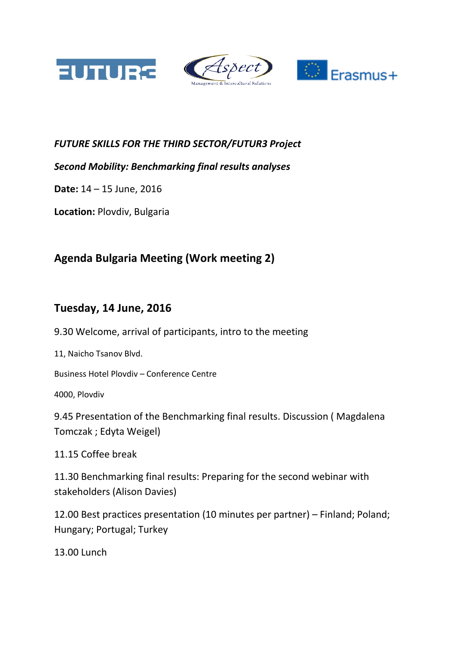





### *FUTURE SKILLS FOR THE THIRD SECTOR/FUTUR3 Project*

### *Second Mobility: Benchmarking final results analyses*

**Date:** 14 – 15 June, 2016

**Location:** Plovdiv, Bulgaria

# **Agenda Bulgaria Meeting (Work meeting 2)**

## **Tuesday, 14 June, 2016**

9.30 Welcome, arrival of participants, intro to the meeting

11, Naicho Tsanov Blvd.

Business Hotel Plovdiv – Conference Centre

4000, Plovdiv

9.45 Presentation of the Benchmarking final results. Discussion ( Magdalena Tomczak ; Edyta Weigel)

11.15 Coffee break

11.30 Benchmarking final results: Preparing for the second webinar with stakeholders (Alison Davies)

12.00 Best practices presentation (10 minutes per partner) – Finland; Poland; Hungary; Portugal; Turkey

13.00 Lunch